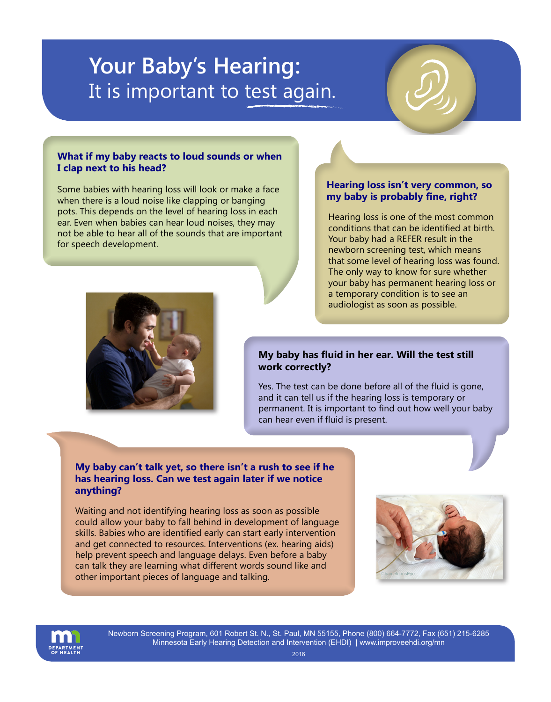# **Your Baby's Hearing:** It is important to test again.

### **What if my baby reacts to loud sounds or when I clap next to his head?**

Some babies with hearing loss will look or make a face<br>**my baby is probably fine, right?** Some there is a loud poice like clapping or banging. when there is a loud noise like clapping or banging pots. This depends on the level of hearing loss in each ear. Even when babies can hear loud noises, they may not be able to hear all of the sounds that are important for speech development.

## **Hearing loss isn't very common, so**

Hearing loss is one of the most common conditions that can be identified at birth. Your baby had a REFER result in the newborn screening test, which means that some level of hearing loss was found. The only way to know for sure whether your baby has permanent hearing loss or a temporary condition is to see an audiologist as soon as possible.



#### **My baby has fluid in her ear. Will the test still work correctly?**

Yes. The test can be done before all of the fluid is gone, and it can tell us if the hearing loss is temporary or permanent. It is important to find out how well your baby can hear even if fluid is present.

### **My baby can't talk yet, so there isn't a rush to see if he has hearing loss. Can we test again later if we notice anything?**

Waiting and not identifying hearing loss as soon as possible could allow your baby to fall behind in development of language skills. Babies who are identified early can start early intervention and get connected to resources. Interventions (ex. hearing aids) help prevent speech and language delays. Even before a baby can talk they are learning what different words sound like and other important pieces of language and talking.





Newborn Screening Program, 601 Robert St. N., St. Paul, MN 55155, Phone (800) 664-7772, Fax (651) 215-6285 Minnesota Early Hearing Detection and Intervention (EHDI) [| www.improveehdi.org/mn](www.improveehdi.org/mn)